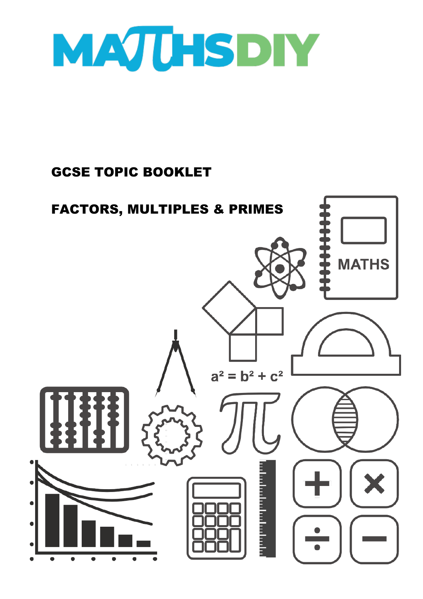

## GCSE TOPIC BOOKLET

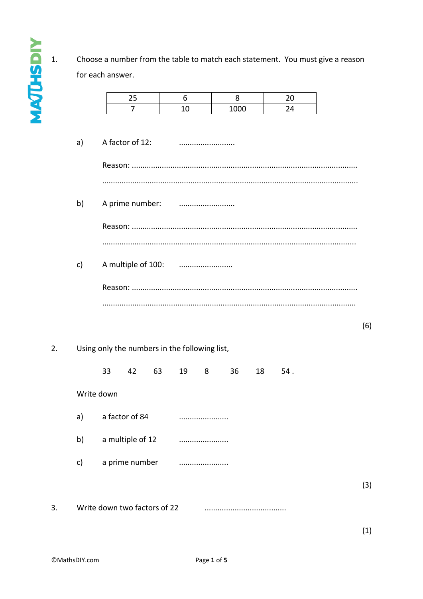$\overline{1}$ . Choose a number from the table to match each statement. You must give a reason for each answer.

|              |                    | 25               |    | 6                                             | 8    |    | 20  |  |
|--------------|--------------------|------------------|----|-----------------------------------------------|------|----|-----|--|
|              |                    | $\overline{7}$   |    | 10                                            | 1000 |    | 24  |  |
|              |                    |                  |    |                                               |      |    |     |  |
| a)           |                    | A factor of 12:  |    |                                               |      |    |     |  |
|              |                    |                  |    |                                               |      |    |     |  |
|              |                    |                  |    |                                               |      |    |     |  |
|              |                    |                  |    |                                               |      |    |     |  |
|              |                    |                  |    |                                               |      |    |     |  |
| b)           | A prime number:    |                  |    |                                               |      |    |     |  |
|              |                    |                  |    |                                               |      |    |     |  |
|              |                    |                  |    |                                               |      |    |     |  |
|              |                    |                  |    |                                               |      |    |     |  |
| $\mathsf{c}$ | A multiple of 100: |                  |    |                                               |      |    |     |  |
|              |                    |                  |    |                                               |      |    |     |  |
|              |                    |                  |    |                                               |      |    |     |  |
|              |                    |                  |    |                                               |      |    |     |  |
|              |                    |                  |    |                                               |      |    |     |  |
|              |                    |                  |    |                                               |      |    |     |  |
|              |                    |                  |    |                                               |      |    |     |  |
|              |                    |                  |    |                                               |      |    |     |  |
|              |                    |                  |    | Using only the numbers in the following list, |      |    |     |  |
|              | 33                 | 42               | 63 | 19<br>8                                       | 36   | 18 | 54. |  |
|              |                    |                  |    |                                               |      |    |     |  |
|              | Write down         |                  |    |                                               |      |    |     |  |
|              |                    |                  |    |                                               |      |    |     |  |
| a)           |                    | a factor of 84   |    | .                                             |      |    |     |  |
| b)           |                    | a multiple of 12 |    |                                               |      |    |     |  |
|              |                    |                  |    |                                               |      |    |     |  |
| c)           |                    | a prime number   |    |                                               |      |    |     |  |
|              |                    |                  |    |                                               |      |    |     |  |
|              |                    |                  |    |                                               |      |    |     |  |

**NATURIN** 

 $\overline{3}$ .

 $\overline{2}$ .

 $(1)$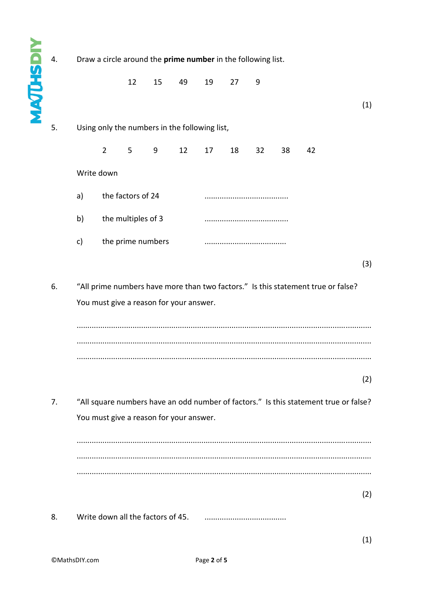**MAJUHSDIY**  $\overline{4}$ . Draw a circle around the prime number in the following list.  $12$ 15 49 27 19 9  $(1)$ 5. Using only the numbers in the following list,  $\overline{2}$ 5 9 12 17 18  $32$ 38 42 Write down the factors of 24 a) the multiples of 3  $b)$ the prime numbers  $\mathsf{C}$  $(3)$ 6. "All prime numbers have more than two factors." Is this statement true or false? You must give a reason for your answer.  $(2)$ "All square numbers have an odd number of factors." Is this statement true or false?  $\overline{7}$ . You must give a reason for your answer.  $(2)$ 8. Write down all the factors of 45. 

 $(1)$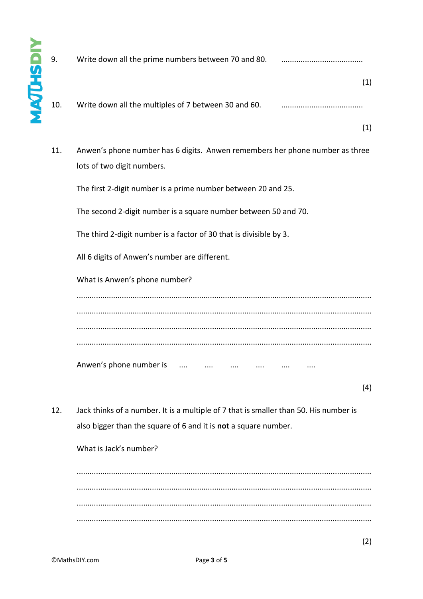| 9.  | Write down all the prime numbers between 70 and 80.                                                                                                      |     |
|-----|----------------------------------------------------------------------------------------------------------------------------------------------------------|-----|
| 10. | Write down all the multiples of 7 between 30 and 60.                                                                                                     | (1) |
|     |                                                                                                                                                          | (1) |
| 11. | Anwen's phone number has 6 digits. Anwen remembers her phone number as three<br>lots of two digit numbers.                                               |     |
|     | The first 2-digit number is a prime number between 20 and 25.                                                                                            |     |
|     | The second 2-digit number is a square number between 50 and 70.                                                                                          |     |
|     | The third 2-digit number is a factor of 30 that is divisible by 3.                                                                                       |     |
|     | All 6 digits of Anwen's number are different.                                                                                                            |     |
|     | What is Anwen's phone number?                                                                                                                            |     |
|     |                                                                                                                                                          |     |
|     | Anwen's phone number is                                                                                                                                  |     |
|     |                                                                                                                                                          | (4) |
| 12. | Jack thinks of a number. It is a multiple of 7 that is smaller than 50. His number is<br>also bigger than the square of 6 and it is not a square number. |     |
|     | What is Jack's number?                                                                                                                                   |     |
|     |                                                                                                                                                          |     |

......................................................................................................................................... ......................................................................................................................................... ......................................................................................................................................... .........................................................................................................................................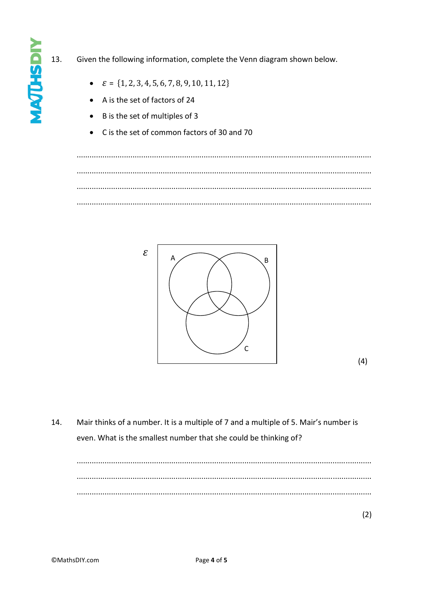## 13. Given the following information, complete the Venn diagram shown below.

- $\mathcal{E} = \{1, 2, 3, 4, 5, 6, 7, 8, 9, 10, 11, 12\}$
- A is the set of factors of 24
- B is the set of multiples of 3
- C is the set of common factors of 30 and 70  $\bullet$



 $(4)$ 

14. Mair thinks of a number. It is a multiple of 7 and a multiple of 5. Mair's number is even. What is the smallest number that she could be thinking of?

 $(2)$